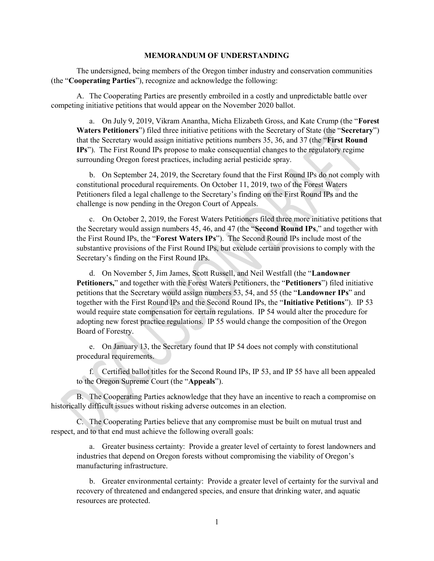#### MEMORANDUM OF UNDERSTANDING

The undersigned, being members of the Oregon timber industry and conservation communities (the "Cooperating Parties"), recognize and acknowledge the following:

A. The Cooperating Parties are presently embroiled in a costly and unpredictable battle over competing initiative petitions that would appear on the November 2020 ballot.

a. On July 9, 2019, Vikram Anantha, Micha Elizabeth Gross, and Kate Crump (the "Forest Waters Petitioners") filed three initiative petitions with the Secretary of State (the "Secretary") that the Secretary would assign initiative petitions numbers 35, 36, and 37 (the "First Round IPs"). The First Round IPs propose to make consequential changes to the regulatory regime surrounding Oregon forest practices, including aerial pesticide spray.

b. On September 24, 2019, the Secretary found that the First Round IPs do not comply with constitutional procedural requirements. On October 11, 2019, two of the Forest Waters Petitioners filed a legal challenge to the Secretary's finding on the First Round IPs and the challenge is now pending in the Oregon Court of Appeals.

c. On October 2, 2019, the Forest Waters Petitioners filed three more initiative petitions that the Secretary would assign numbers 45, 46, and 47 (the "Second Round IPs," and together with the First Round IPs, the "Forest Waters IPs"). The Second Round IPs include most of the substantive provisions of the First Round IPs, but exclude certain provisions to comply with the Secretary's finding on the First Round IPs.

d. On November 5, Jim James, Scott Russell, and Neil Westfall (the "Landowner Petitioners," and together with the Forest Waters Petitioners, the "Petitioners") filed initiative petitions that the Secretary would assign numbers 53, 54, and 55 (the "Landowner IPs" and together with the First Round IPs and the Second Round IPs, the "Initiative Petitions"). IP 53 would require state compensation for certain regulations. IP 54 would alter the procedure for adopting new forest practice regulations. IP 55 would change the composition of the Oregon Board of Forestry.

e. On January 13, the Secretary found that IP 54 does not comply with constitutional procedural requirements.

f. Certified ballot titles for the Second Round IPs, IP 53, and IP 55 have all been appealed to the Oregon Supreme Court (the "Appeals").

B. The Cooperating Parties acknowledge that they have an incentive to reach a compromise on historically difficult issues without risking adverse outcomes in an election.

C. The Cooperating Parties believe that any compromise must be built on mutual trust and respect, and to that end must achieve the following overall goals:

a. Greater business certainty: Provide a greater level of certainty to forest landowners and industries that depend on Oregon forests without compromising the viability of Oregon's manufacturing infrastructure.

b. Greater environmental certainty: Provide a greater level of certainty for the survival and recovery of threatened and endangered species, and ensure that drinking water, and aquatic resources are protected.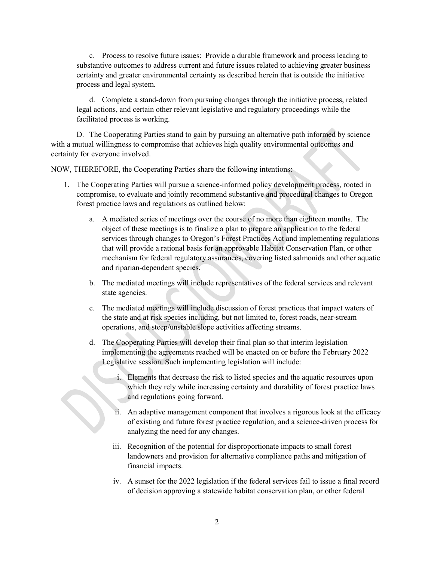c. Process to resolve future issues: Provide a durable framework and process leading to substantive outcomes to address current and future issues related to achieving greater business certainty and greater environmental certainty as described herein that is outside the initiative process and legal system.

d. Complete a stand-down from pursuing changes through the initiative process, related legal actions, and certain other relevant legislative and regulatory proceedings while the facilitated process is working.

D. The Cooperating Parties stand to gain by pursuing an alternative path informed by science with a mutual willingness to compromise that achieves high quality environmental outcomes and certainty for everyone involved.

NOW, THEREFORE, the Cooperating Parties share the following intentions:

- 1. The Cooperating Parties will pursue a science-informed policy development process, rooted in compromise, to evaluate and jointly recommend substantive and procedural changes to Oregon forest practice laws and regulations as outlined below:
	- a. A mediated series of meetings over the course of no more than eighteen months. The object of these meetings is to finalize a plan to prepare an application to the federal services through changes to Oregon's Forest Practices Act and implementing regulations that will provide a rational basis for an approvable Habitat Conservation Plan, or other mechanism for federal regulatory assurances, covering listed salmonids and other aquatic and riparian-dependent species.
	- b. The mediated meetings will include representatives of the federal services and relevant state agencies.
	- c. The mediated meetings will include discussion of forest practices that impact waters of the state and at risk species including, but not limited to, forest roads, near-stream operations, and steep/unstable slope activities affecting streams.
	- d. The Cooperating Parties will develop their final plan so that interim legislation implementing the agreements reached will be enacted on or before the February 2022 Legislative session. Such implementing legislation will include:
		- i. Elements that decrease the risk to listed species and the aquatic resources upon which they rely while increasing certainty and durability of forest practice laws and regulations going forward.
		- ii. An adaptive management component that involves a rigorous look at the efficacy of existing and future forest practice regulation, and a science-driven process for analyzing the need for any changes.
		- iii. Recognition of the potential for disproportionate impacts to small forest landowners and provision for alternative compliance paths and mitigation of financial impacts.
		- iv. A sunset for the 2022 legislation if the federal services fail to issue a final record of decision approving a statewide habitat conservation plan, or other federal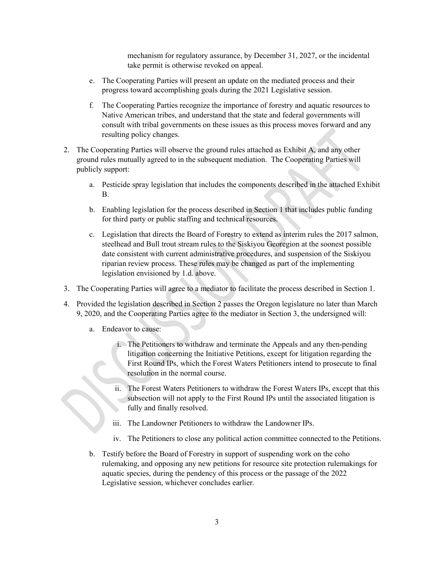mechanism for regulatory assurance, by December 31, 2027, or the incidental take permit is otherwise revoked on appeal.

- e. The Cooperating Parties will present an update on the mediated process and their progress toward accomplishing goals during the 2021 Legislative session.
- f. The Cooperating Parties recognize the importance of forestry and aquatic resources to Native American tribes, and understand that the state and federal governments will consult with tribal governments on these issues as this process moves forward and any resulting policy changes.
- 2. The Cooperating Parties will observe the ground rules attached as Exhibit A, and any other ground rules mutually agreed to in the subsequent mediation. The Cooperating Parties will publicly support:
	- a. Pesticide spray legislation that includes the components described in the attached Exhibit B.
	- b. Enabling legislation for the process described in Section 1 that includes public funding for third party or public staffing and technical resources.
	- c. Legislation that directs the Board of Forestry to extend as interim rules the 2017 salmon, steelhead and Bull trout stream rules to the Siskiyou Georegion at the soonest possible date consistent with current administrative procedures, and suspension of the Siskiyou riparian review process. These rules may be changed as part of the implementing legislation envisioned by 1.d. above.
- 3. The Cooperating Parties will agree to a mediator to facilitate the process described in Section 1.
- 4. Provided the legislation described in Section 2 passes the Oregon legislature no later than March 9, 2020, and the Cooperating Parties agree to the mediator in Section 3, the undersigned will:
	- a. Endeavor to cause:
		- i. The Petitioners to withdraw and terminate the Appeals and any then-pending litigation concerning the Initiative Petitions, except for litigation regarding the First Round IPs, which the Forest Waters Petitioners intend to prosecute to final resolution in the normal course.
		- ii. The Forest Waters Petitioners to withdraw the Forest Waters IPs, except that this subsection will not apply to the First Round IPs until the associated litigation is S fully and finally resolved.
			- iii. The Landowner Petitioners to withdraw the Landowner IPs.
			- iv. The Petitioners to close any political action committee connected to the Petitions.
	- b. Testify before the Board of Forestry in support of suspending work on the coho rulemaking, and opposing any new petitions for resource site protection rulemakings for aquatic species, during the pendency of this process or the passage of the 2022 Legislative session, whichever concludes earlier.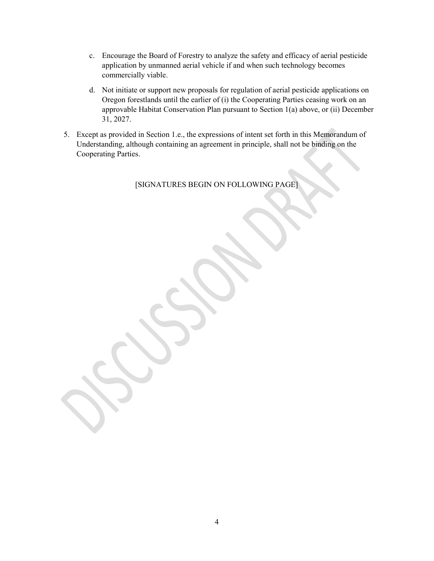- c. Encourage the Board of Forestry to analyze the safety and efficacy of aerial pesticide application by unmanned aerial vehicle if and when such technology becomes commercially viable.
- d. Not initiate or support new proposals for regulation of aerial pesticide applications on Oregon forestlands until the earlier of (i) the Cooperating Parties ceasing work on an approvable Habitat Conservation Plan pursuant to Section 1(a) above, or (ii) December 31, 2027.
- 5. Except as provided in Section 1.e., the expressions of intent set forth in this Memorandum of Understanding, although containing an agreement in principle, shall not be binding on the Cooperating Parties.

[SIGNATURES BEGIN ON FOLLOWING PAGE]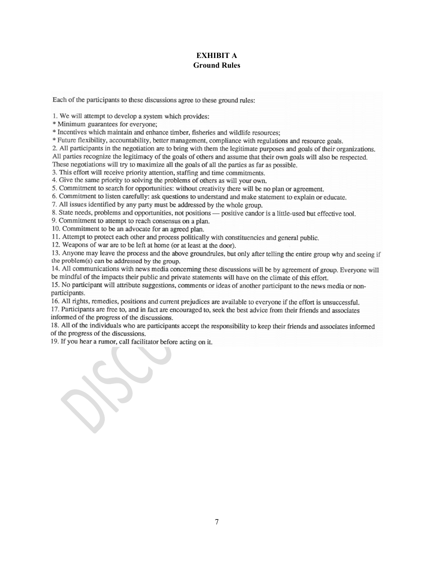## EXHIBIT A Ground Rules

Each of the participants to these discussions agree to these ground rules:

1. We will attempt to develop a system which provides:

\* Minimum guarantees for everyone:

\* Incentives which maintain and enhance timber, fisheries and wildlife resources;

\* Future flexibility, accountability, better management, compliance with regulations and resource goals.

2. All participants in the negotiation are to bring with them the legitimate purposes and goals of their organizations.

All parties recognize the legitimacy of the goals of others and assume that their own goals will also be respected.

These negotiations will try to maximize all the goals of all the parties as far as possible.

3. This effort will receive priority attention, staffing and time commitments.

4. Give the same priority to solving the problems of others as will your own.

5. Commitment to search for opportunities: without creativity there will be no plan or agreement.

6. Commitment to listen carefully: ask questions to understand and make statement to explain or educate.

7. All issues identified by any party must be addressed by the whole group.

8. State needs, problems and opportunities, not positions — positive candor is a little-used but effective tool.

9. Commitment to attempt to reach consensus on a plan.

10. Commitment to be an advocate for an agreed plan.

11. Attempt to protect each other and process politically with constituencies and general public.

12. Weapons of war are to be left at home (or at least at the door).

13. Anyone may leave the process and the above groundrules, but only after telling the entire group why and seeing if the problem(s) can be addressed by the group.

14. All communications with news media concerning these discussions will be by agreement of group. Everyone will be mindful of the impacts their public and private statements will have on the climate of this effort.

15. No participant will attribute suggestions, comments or ideas of another participant to the news media or nonparticipants.

16. All rights, remedies, positions and current prejudices are available to everyone if the effort is unsuccessful. 17. Participants are free to, and in fact are encouraged to, seek the best advice from their friends and associates informed of the progress of the discussions.

18. All of the individuals who are participants accept the responsibility to keep their friends and associates informed of the progress of the discussions.

19. If you hear a rumor, call facilitator before acting on it.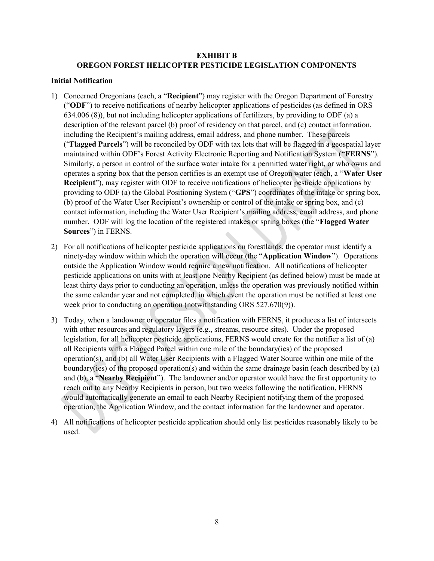### EXHIBIT B OREGON FOREST HELICOPTER PESTICIDE LEGISLATION COMPONENTS

#### Initial Notification

- 1) Concerned Oregonians (each, a "Recipient") may register with the Oregon Department of Forestry ("ODF") to receive notifications of nearby helicopter applications of pesticides (as defined in ORS 634.006 (8)), but not including helicopter applications of fertilizers, by providing to ODF (a) a description of the relevant parcel (b) proof of residency on that parcel, and (c) contact information, including the Recipient's mailing address, email address, and phone number. These parcels ("Flagged Parcels") will be reconciled by ODF with tax lots that will be flagged in a geospatial layer maintained within ODF's Forest Activity Electronic Reporting and Notification System ("FERNS"). Similarly, a person in control of the surface water intake for a permitted water right, or who owns and operates a spring box that the person certifies is an exempt use of Oregon water (each, a "Water User Recipient"), may register with ODF to receive notifications of helicopter pesticide applications by providing to ODF (a) the Global Positioning System ("GPS") coordinates of the intake or spring box, (b) proof of the Water User Recipient's ownership or control of the intake or spring box, and (c) contact information, including the Water User Recipient's mailing address, email address, and phone number. ODF will log the location of the registered intakes or spring boxes (the "Flagged Water Sources") in FERNS.
- 2) For all notifications of helicopter pesticide applications on forestlands, the operator must identify a ninety-day window within which the operation will occur (the "Application Window"). Operations outside the Application Window would require a new notification. All notifications of helicopter pesticide applications on units with at least one Nearby Recipient (as defined below) must be made at least thirty days prior to conducting an operation, unless the operation was previously notified within the same calendar year and not completed, in which event the operation must be notified at least one week prior to conducting an operation (notwithstanding ORS 527.670(9)).
- 3) Today, when a landowner or operator files a notification with FERNS, it produces a list of intersects with other resources and regulatory layers (e.g., streams, resource sites). Under the proposed legislation, for all helicopter pesticide applications, FERNS would create for the notifier a list of (a) all Recipients with a Flagged Parcel within one mile of the boundary(ies) of the proposed operation(s), and (b) all Water User Recipients with a Flagged Water Source within one mile of the boundary(ies) of the proposed operation(s) and within the same drainage basin (each described by (a) and (b), a "Nearby Recipient"). The landowner and/or operator would have the first opportunity to reach out to any Nearby Recipients in person, but two weeks following the notification, FERNS would automatically generate an email to each Nearby Recipient notifying them of the proposed operation, the Application Window, and the contact information for the landowner and operator.
- 4) All notifications of helicopter pesticide application should only list pesticides reasonably likely to be used.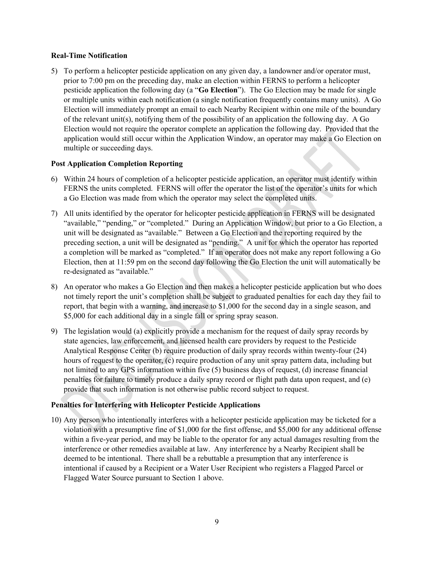#### Real-Time Notification

5) To perform a helicopter pesticide application on any given day, a landowner and/or operator must, prior to 7:00 pm on the preceding day, make an election within FERNS to perform a helicopter pesticide application the following day (a "Go Election"). The Go Election may be made for single or multiple units within each notification (a single notification frequently contains many units). A Go Election will immediately prompt an email to each Nearby Recipient within one mile of the boundary of the relevant unit(s), notifying them of the possibility of an application the following day. A Go Election would not require the operator complete an application the following day. Provided that the application would still occur within the Application Window, an operator may make a Go Election on multiple or succeeding days.

## Post Application Completion Reporting

- 6) Within 24 hours of completion of a helicopter pesticide application, an operator must identify within FERNS the units completed. FERNS will offer the operator the list of the operator's units for which a Go Election was made from which the operator may select the completed units.
- 7) All units identified by the operator for helicopter pesticide application in FERNS will be designated "available," "pending," or "completed." During an Application Window, but prior to a Go Election, a unit will be designated as "available." Between a Go Election and the reporting required by the preceding section, a unit will be designated as "pending." A unit for which the operator has reported a completion will be marked as "completed." If an operator does not make any report following a Go Election, then at 11:59 pm on the second day following the Go Election the unit will automatically be re-designated as "available."
- 8) An operator who makes a Go Election and then makes a helicopter pesticide application but who does not timely report the unit's completion shall be subject to graduated penalties for each day they fail to report, that begin with a warning, and increase to \$1,000 for the second day in a single season, and \$5,000 for each additional day in a single fall or spring spray season.
- 9) The legislation would (a) explicitly provide a mechanism for the request of daily spray records by state agencies, law enforcement, and licensed health care providers by request to the Pesticide Analytical Response Center (b) require production of daily spray records within twenty-four (24) hours of request to the operator, (c) require production of any unit spray pattern data, including but not limited to any GPS information within five (5) business days of request, (d) increase financial penalties for failure to timely produce a daily spray record or flight path data upon request, and (e) provide that such information is not otherwise public record subject to request.

# Penalties for Interfering with Helicopter Pesticide Applications

10) Any person who intentionally interferes with a helicopter pesticide application may be ticketed for a violation with a presumptive fine of \$1,000 for the first offense, and \$5,000 for any additional offense within a five-year period, and may be liable to the operator for any actual damages resulting from the interference or other remedies available at law. Any interference by a Nearby Recipient shall be deemed to be intentional. There shall be a rebuttable a presumption that any interference is intentional if caused by a Recipient or a Water User Recipient who registers a Flagged Parcel or Flagged Water Source pursuant to Section 1 above.